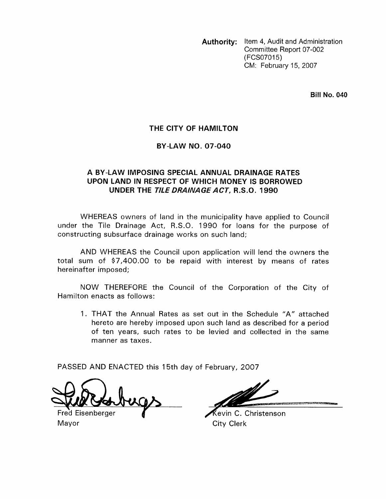**Authority:** Item 4, Audit and Administration Committee Report 07-002 (FCSO7015) CM: February 15, 2007

**Bill No. 040** 

### **THE CITY OF HAMILTON**

#### **BY-LAW NO. 07-040**

## **A BY-LAW IMPOSING SPECIAL ANNUAL DRAINAGE RATES UPON LAND IN RESPECT OF WHICH MONEY IS BORROWED UNDER THE** *TILE DRAINAGE ACT,* **R.S.O. 1990**

WHEREAS owners of land in the municipality have applied to Council under the Tile Drainage Act, R.S.O. 1990 for loans for the purpose of constructing subsurface drainage works on such land;

AND WHEREAS the Council upon application will lend the owners the total sum of \$7,400.00 to be repaid with interest by means of rates hereinafter imposed;

NOW THEREFORE the Council of the Corporation of the City of Hamilton enacts as follows:

1. THAT the Annual Rates as set out in the Schedule "A" attached hereto are hereby imposed upon such land as described for a period of ten years, such rates to be levied and collected in the same manner as taxes.

PASSED AND ENACTED this 15th day of February, 2007

 $\bigcap$  .

Fred Eisenberger **4 1988 1998 1998 1998** City Clerk Mayor **City Clerk**